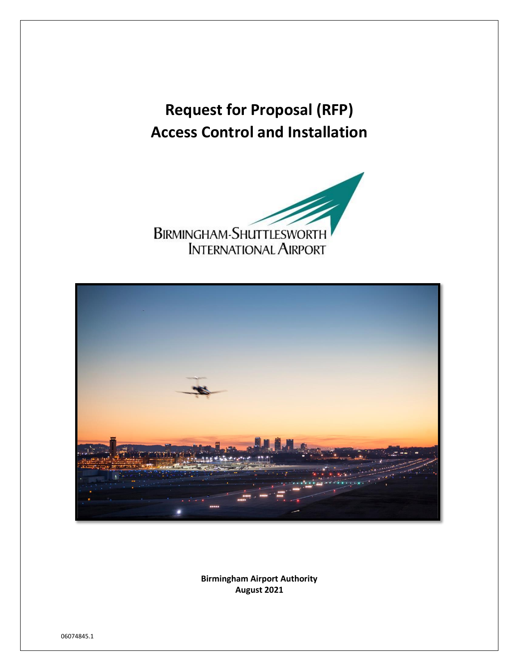# **Request for Proposal (RFP) Access Control and Installation**





**Birmingham Airport Authority August 2021**

06074845.1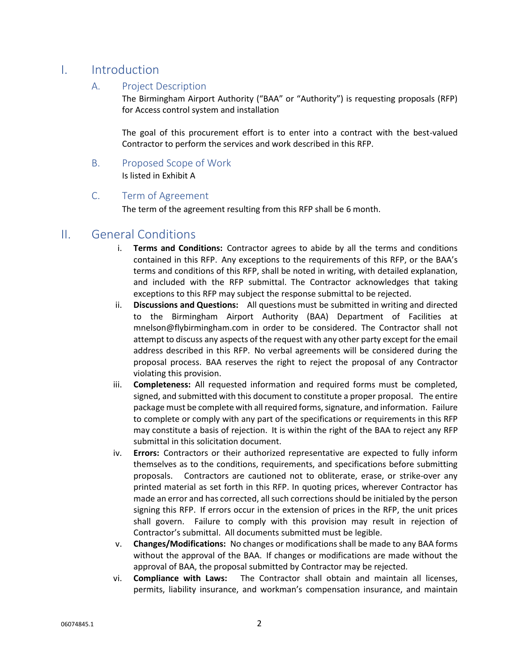## I. Introduction

#### A. Project Description

The Birmingham Airport Authority ("BAA" or "Authority") is requesting proposals (RFP) for Access control system and installation

The goal of this procurement effort is to enter into a contract with the best-valued Contractor to perform the services and work described in this RFP.

B. Proposed Scope of Work Is listed in Exhibit A

#### C. Term of Agreement

The term of the agreement resulting from this RFP shall be 6 month.

### II. General Conditions

- i. **Terms and Conditions:** Contractor agrees to abide by all the terms and conditions contained in this RFP. Any exceptions to the requirements of this RFP, or the BAA's terms and conditions of this RFP, shall be noted in writing, with detailed explanation, and included with the RFP submittal. The Contractor acknowledges that taking exceptions to this RFP may subject the response submittal to be rejected.
- ii. **Discussions and Questions:** All questions must be submitted in writing and directed to the Birmingham Airport Authority (BAA) Department of Facilities at mnelson@flybirmingham.com in order to be considered. The Contractor shall not attempt to discuss any aspects of the request with any other party except for the email address described in this RFP. No verbal agreements will be considered during the proposal process. BAA reserves the right to reject the proposal of any Contractor violating this provision.
- iii. **Completeness:** All requested information and required forms must be completed, signed, and submitted with this document to constitute a proper proposal. The entire package must be complete with all required forms, signature, and information. Failure to complete or comply with any part of the specifications or requirements in this RFP may constitute a basis of rejection. It is within the right of the BAA to reject any RFP submittal in this solicitation document.
- iv. **Errors:** Contractors or their authorized representative are expected to fully inform themselves as to the conditions, requirements, and specifications before submitting proposals. Contractors are cautioned not to obliterate, erase, or strike‐over any printed material as set forth in this RFP. In quoting prices, wherever Contractor has made an error and has corrected, all such corrections should be initialed by the person signing this RFP. If errors occur in the extension of prices in the RFP, the unit prices shall govern. Failure to comply with this provision may result in rejection of Contractor's submittal. All documents submitted must be legible.
- v. **Changes/Modifications:** No changes or modifications shall be made to any BAA forms without the approval of the BAA. If changes or modifications are made without the approval of BAA, the proposal submitted by Contractor may be rejected.
- vi. **Compliance with Laws:** The Contractor shall obtain and maintain all licenses, permits, liability insurance, and workman's compensation insurance, and maintain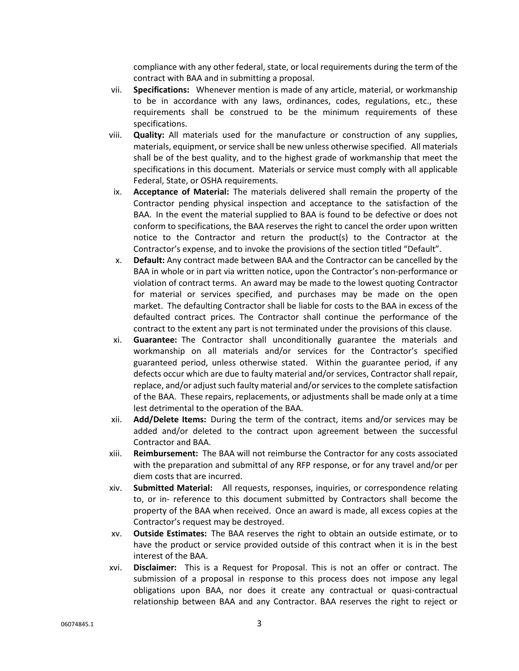compliance with any other federal, state, or local requirements during the term of the contract with BAA and in submitting a proposal.

- vii. **Specifications:** Whenever mention is made of any article, material, or workmanship to be in accordance with any laws, ordinances, codes, regulations, etc., these requirements shall be construed to be the minimum requirements of these specifications.
- viii. **Quality:** All materials used for the manufacture or construction of any supplies, materials, equipment, or service shall be new unless otherwise specified. All materials shall be of the best quality, and to the highest grade of workmanship that meet the specifications in this document. Materials or service must comply with all applicable Federal, State, or OSHA requirements.
- ix. **Acceptance of Material:** The materials delivered shall remain the property of the Contractor pending physical inspection and acceptance to the satisfaction of the BAA. In the event the material supplied to BAA is found to be defective or does not conform to specifications, the BAA reserves the right to cancel the order upon written notice to the Contractor and return the product(s) to the Contractor at the Contractor's expense, and to invoke the provisions of the section titled "Default".
- x. **Default:** Any contract made between BAA and the Contractor can be cancelled by the BAA in whole or in part via written notice, upon the Contractor's non-performance or violation of contract terms. An award may be made to the lowest quoting Contractor for material or services specified, and purchases may be made on the open market. The defaulting Contractor shall be liable for costs to the BAA in excess of the defaulted contract prices. The Contractor shall continue the performance of the contract to the extent any part is not terminated under the provisions of this clause.
- xi. **Guarantee:** The Contractor shall unconditionally guarantee the materials and workmanship on all materials and/or services for the Contractor's specified guaranteed period, unless otherwise stated. Within the guarantee period, if any defects occur which are due to faulty material and/or services, Contractor shall repair, replace, and/or adjust such faulty material and/or servicesto the complete satisfaction of the BAA. These repairs, replacements, or adjustments shall be made only at a time lest detrimental to the operation of the BAA.
- xii. **Add/Delete Items:** During the term of the contract, items and/or services may be added and/or deleted to the contract upon agreement between the successful Contractor and BAA.
- xiii. **Reimbursement:** The BAA will not reimburse the Contractor for any costs associated with the preparation and submittal of any RFP response, or for any travel and/or per diem costs that are incurred.
- xiv. **Submitted Material:** All requests, responses, inquiries, or correspondence relating to, or in‐ reference to this document submitted by Contractors shall become the property of the BAA when received. Once an award is made, all excess copies at the Contractor's request may be destroyed.
- xv. **Outside Estimates:** The BAA reserves the right to obtain an outside estimate, or to have the product or service provided outside of this contract when it is in the best interest of the BAA.
- xvi. **Disclaimer:** This is a Request for Proposal. This is not an offer or contract. The submission of a proposal in response to this process does not impose any legal obligations upon BAA, nor does it create any contractual or quasi-contractual relationship between BAA and any Contractor. BAA reserves the right to reject or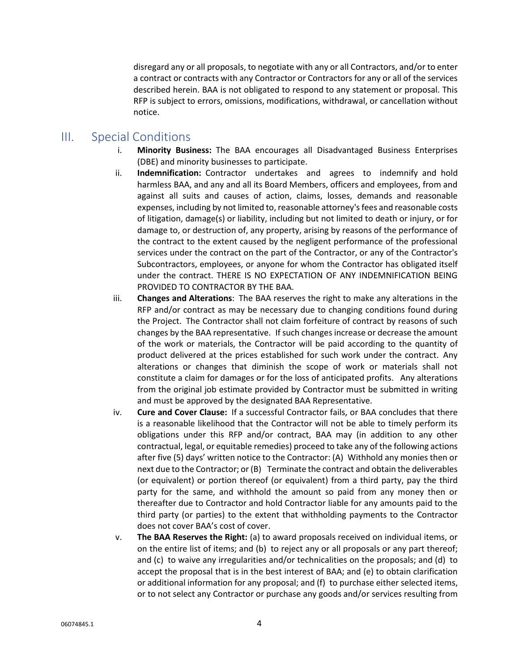disregard any or all proposals, to negotiate with any or all Contractors, and/or to enter a contract or contracts with any Contractor or Contractors for any or all of the services described herein. BAA is not obligated to respond to any statement or proposal. This RFP is subject to errors, omissions, modifications, withdrawal, or cancellation without notice.

## III. Special Conditions

- i. **Minority Business:** The BAA encourages all Disadvantaged Business Enterprises (DBE) and minority businesses to participate.
- ii. **Indemnification:** Contractor undertakes and agrees to indemnify and hold harmless BAA, and any and all its Board Members, officers and employees, from and against all suits and causes of action, claims, losses, demands and reasonable expenses, including by not limited to, reasonable attorney's fees and reasonable costs of litigation, damage(s) or liability, including but not limited to death or injury, or for damage to, or destruction of, any property, arising by reasons of the performance of the contract to the extent caused by the negligent performance of the professional services under the contract on the part of the Contractor, or any of the Contractor's Subcontractors, employees, or anyone for whom the Contractor has obligated itself under the contract. THERE IS NO EXPECTATION OF ANY INDEMNIFICATION BEING PROVIDED TO CONTRACTOR BY THE BAA.
- iii. **Changes and Alterations**: The BAA reserves the right to make any alterations in the RFP and/or contract as may be necessary due to changing conditions found during the Project. The Contractor shall not claim forfeiture of contract by reasons of such changes by the BAA representative. If such changes increase or decrease the amount of the work or materials, the Contractor will be paid according to the quantity of product delivered at the prices established for such work under the contract. Any alterations or changes that diminish the scope of work or materials shall not constitute a claim for damages or for the loss of anticipated profits. Any alterations from the original job estimate provided by Contractor must be submitted in writing and must be approved by the designated BAA Representative.
- iv. **Cure and Cover Clause:** If a successful Contractor fails, or BAA concludes that there is a reasonable likelihood that the Contractor will not be able to timely perform its obligations under this RFP and/or contract, BAA may (in addition to any other contractual, legal, or equitable remedies) proceed to take any of the following actions after five (5) days' written notice to the Contractor: (A) Withhold any monies then or next due to the Contractor; or (B) Terminate the contract and obtain the deliverables (or equivalent) or portion thereof (or equivalent) from a third party, pay the third party for the same, and withhold the amount so paid from any money then or thereafter due to Contractor and hold Contractor liable for any amounts paid to the third party (or parties) to the extent that withholding payments to the Contractor does not cover BAA's cost of cover.
- v. **The BAA Reserves the Right:** (a) to award proposals received on individual items, or on the entire list of items; and (b) to reject any or all proposals or any part thereof; and (c) to waive any irregularities and/or technicalities on the proposals; and (d) to accept the proposal that is in the best interest of BAA; and (e) to obtain clarification or additional information for any proposal; and (f) to purchase either selected items, or to not select any Contractor or purchase any goods and/or services resulting from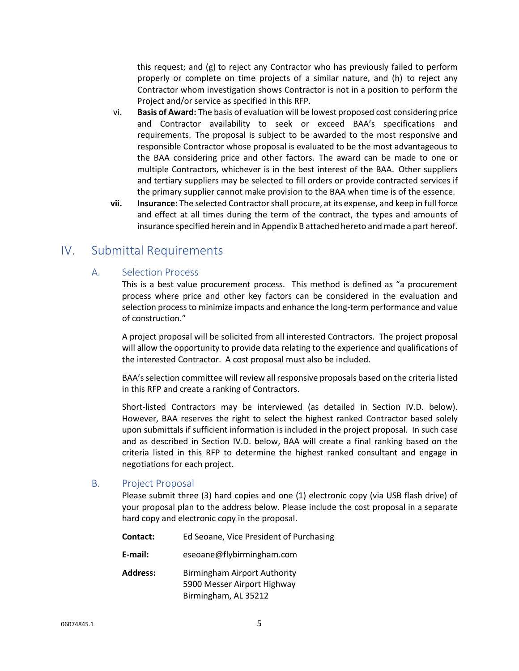this request; and (g) to reject any Contractor who has previously failed to perform properly or complete on time projects of a similar nature, and (h) to reject any Contractor whom investigation shows Contractor is not in a position to perform the Project and/or service as specified in this RFP.

- vi. **Basis of Award:** The basis of evaluation will be lowest proposed cost considering price and Contractor availability to seek or exceed BAA's specifications and requirements. The proposal is subject to be awarded to the most responsive and responsible Contractor whose proposal is evaluated to be the most advantageous to the BAA considering price and other factors. The award can be made to one or multiple Contractors, whichever is in the best interest of the BAA. Other suppliers and tertiary suppliers may be selected to fill orders or provide contracted services if the primary supplier cannot make provision to the BAA when time is of the essence.
- **vii. Insurance:** The selected Contractor shall procure, at its expense, and keep in full force and effect at all times during the term of the contract, the types and amounts of insurance specified herein and in Appendix B attached hereto and made a part hereof.

## IV. Submittal Requirements

#### A. Selection Process

This is a best value procurement process. This method is defined as "a procurement process where price and other key factors can be considered in the evaluation and selection process to minimize impacts and enhance the long-term performance and value of construction."

A project proposal will be solicited from all interested Contractors. The project proposal will allow the opportunity to provide data relating to the experience and qualifications of the interested Contractor. A cost proposal must also be included.

BAA'sselection committee will review all responsive proposals based on the criteria listed in this RFP and create a ranking of Contractors.

Short-listed Contractors may be interviewed (as detailed in Section IV.D. below). However, BAA reserves the right to select the highest ranked Contractor based solely upon submittals if sufficient information is included in the project proposal. In such case and as described in Section IV.D. below, BAA will create a final ranking based on the criteria listed in this RFP to determine the highest ranked consultant and engage in negotiations for each project.

#### B. Project Proposal

Please submit three (3) hard copies and one (1) electronic copy (via USB flash drive) of your proposal plan to the address below. Please include the cost proposal in a separate hard copy and electronic copy in the proposal.

| <b>Contact:</b> | Ed Seoane, Vice President of Purchasing                                                    |
|-----------------|--------------------------------------------------------------------------------------------|
| E-mail:         | eseoane@flybirmingham.com                                                                  |
| Address:        | <b>Birmingham Airport Authority</b><br>5900 Messer Airport Highway<br>Birmingham, AL 35212 |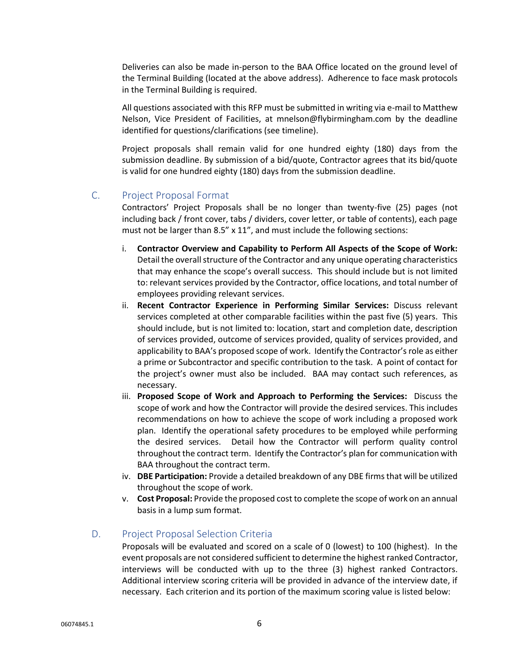Deliveries can also be made in-person to the BAA Office located on the ground level of the Terminal Building (located at the above address). Adherence to face mask protocols in the Terminal Building is required.

All questions associated with this RFP must be submitted in writing via e-mail to Matthew Nelson, Vice President of Facilities, at mnelson@flybirmingham.com by the deadline identified for questions/clarifications (see timeline).

Project proposals shall remain valid for one hundred eighty (180) days from the submission deadline. By submission of a bid/quote, Contractor agrees that its bid/quote is valid for one hundred eighty (180) days from the submission deadline.

#### C. Project Proposal Format

Contractors' Project Proposals shall be no longer than twenty-five (25) pages (not including back / front cover, tabs / dividers, cover letter, or table of contents), each page must not be larger than 8.5" x 11", and must include the following sections:

- i. **Contractor Overview and Capability to Perform All Aspects of the Scope of Work:** Detail the overall structure of the Contractor and any unique operating characteristics that may enhance the scope's overall success. This should include but is not limited to: relevant services provided by the Contractor, office locations, and total number of employees providing relevant services.
- ii. **Recent Contractor Experience in Performing Similar Services:** Discuss relevant services completed at other comparable facilities within the past five (5) years. This should include, but is not limited to: location, start and completion date, description of services provided, outcome of services provided, quality of services provided, and applicability to BAA's proposed scope of work. Identify the Contractor's role as either a prime or Subcontractor and specific contribution to the task. A point of contact for the project's owner must also be included. BAA may contact such references, as necessary.
- iii. **Proposed Scope of Work and Approach to Performing the Services:** Discuss the scope of work and how the Contractor will provide the desired services. This includes recommendations on how to achieve the scope of work including a proposed work plan. Identify the operational safety procedures to be employed while performing the desired services. Detail how the Contractor will perform quality control throughout the contract term. Identify the Contractor's plan for communication with BAA throughout the contract term.
- iv. **DBE Participation:** Provide a detailed breakdown of any DBE firms that will be utilized throughout the scope of work.
- v. **Cost Proposal:** Provide the proposed cost to complete the scope of work on an annual basis in a lump sum format.

#### D. Project Proposal Selection Criteria

Proposals will be evaluated and scored on a scale of 0 (lowest) to 100 (highest). In the event proposals are not considered sufficient to determine the highest ranked Contractor, interviews will be conducted with up to the three (3) highest ranked Contractors. Additional interview scoring criteria will be provided in advance of the interview date, if necessary. Each criterion and its portion of the maximum scoring value is listed below: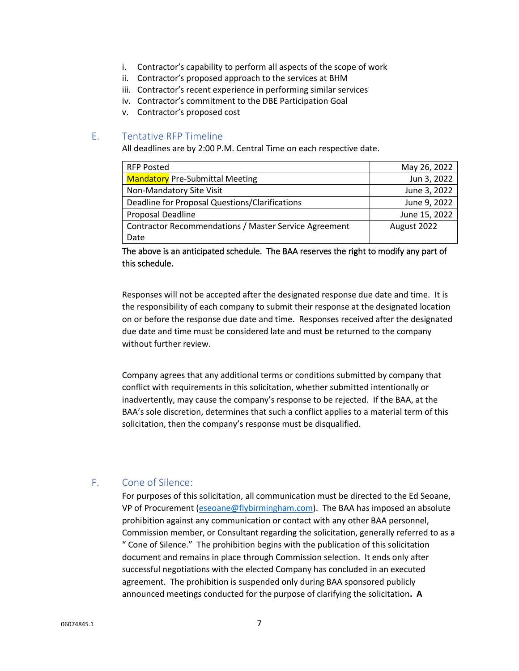- i. Contractor's capability to perform all aspects of the scope of work
- ii. Contractor's proposed approach to the services at BHM
- iii. Contractor's recent experience in performing similar services
- iv. Contractor's commitment to the DBE Participation Goal
- v. Contractor's proposed cost

#### E. Tentative RFP Timeline

All deadlines are by 2:00 P.M. Central Time on each respective date.

| <b>RFP Posted</b>                                     | May 26, 2022  |
|-------------------------------------------------------|---------------|
| <b>Mandatory Pre-Submittal Meeting</b>                | Jun 3, 2022   |
| Non-Mandatory Site Visit                              | June 3, 2022  |
| Deadline for Proposal Questions/Clarifications        | June 9, 2022  |
| Proposal Deadline                                     | June 15, 2022 |
| Contractor Recommendations / Master Service Agreement | August 2022   |
| Date                                                  |               |

The above is an anticipated schedule. The BAA reserves the right to modify any part of this schedule.

Responses will not be accepted after the designated response due date and time. It is the responsibility of each company to submit their response at the designated location on or before the response due date and time. Responses received after the designated due date and time must be considered late and must be returned to the company without further review.

Company agrees that any additional terms or conditions submitted by company that conflict with requirements in this solicitation, whether submitted intentionally or inadvertently, may cause the company's response to be rejected. If the BAA, at the BAA's sole discretion, determines that such a conflict applies to a material term of this solicitation, then the company's response must be disqualified.

#### F. Cone of Silence:

For purposes of this solicitation, all communication must be directed to the Ed Seoane, VP of Procurement [\(eseoane@flybirmingham.com\)](mailto:eseoane@flybirmingham.com). The BAA has imposed an absolute prohibition against any communication or contact with any other BAA personnel, Commission member, or Consultant regarding the solicitation, generally referred to as a " Cone of Silence." The prohibition begins with the publication of this solicitation document and remains in place through Commission selection. It ends only after successful negotiations with the elected Company has concluded in an executed agreement. The prohibition is suspended only during BAA sponsored publicly announced meetings conducted for the purpose of clarifying the solicitation**. A**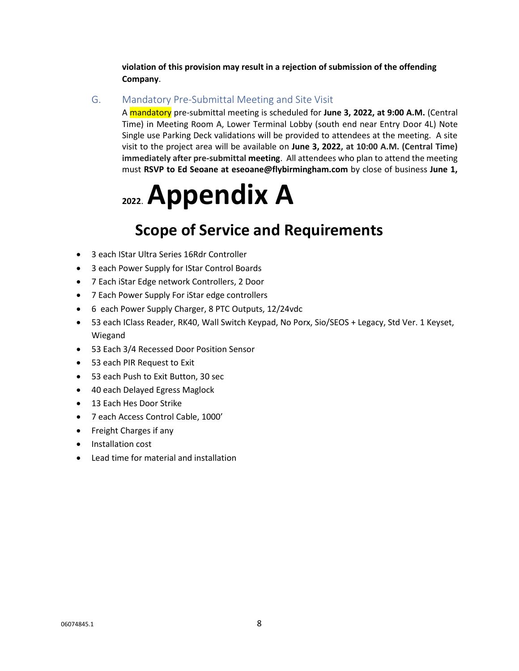**violation of this provision may result in a rejection of submission of the offending Company**.

#### G. Mandatory Pre-Submittal Meeting and Site Visit

A mandatory pre-submittal meeting is scheduled for **June 3, 2022, at 9:00 A.M.** (Central Time) in Meeting Room A, Lower Terminal Lobby (south end near Entry Door 4L) Note Single use Parking Deck validations will be provided to attendees at the meeting. A site visit to the project area will be available on **June 3, 2022, at 10:00 A.M. (Central Time) immediately after pre-submittal meeting**. All attendees who plan to attend the meeting must **RSVP to Ed Seoane at eseoane@flybirmingham.com** by close of business **June 1,** 

# **<sup>2022</sup>**. **Appendix A**

# **Scope of Service and Requirements**

- 3 each IStar Ultra Series 16Rdr Controller
- 3 each Power Supply for IStar Control Boards
- 7 Each iStar Edge network Controllers, 2 Door
- 7 Each Power Supply For iStar edge controllers
- 6 each Power Supply Charger, 8 PTC Outputs, 12/24vdc
- 53 each IClass Reader, RK40, Wall Switch Keypad, No Porx, Sio/SEOS + Legacy, Std Ver. 1 Keyset, Wiegand
- 53 Each 3/4 Recessed Door Position Sensor
- 53 each PIR Request to Exit
- 53 each Push to Exit Button, 30 sec
- 40 each Delayed Egress Maglock
- 13 Each Hes Door Strike
- 7 each Access Control Cable, 1000'
- Freight Charges if any
- Installation cost
- Lead time for material and installation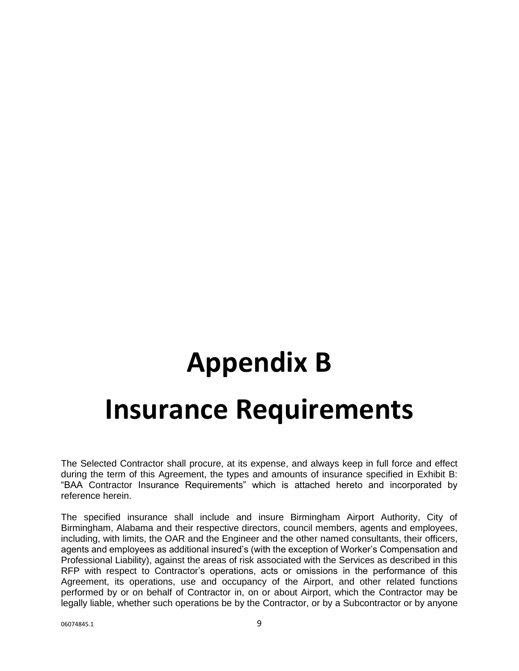# **Appendix B Insurance Requirements**

The Selected Contractor shall procure, at its expense, and always keep in full force and effect during the term of this Agreement, the types and amounts of insurance specified in Exhibit B: "BAA Contractor Insurance Requirements" which is attached hereto and incorporated by reference herein.

The specified insurance shall include and insure Birmingham Airport Authority, City of Birmingham, Alabama and their respective directors, council members, agents and employees, including, with limits, the OAR and the Engineer and the other named consultants, their officers, agents and employees as additional insured's (with the exception of Worker's Compensation and Professional Liability), against the areas of risk associated with the Services as described in this RFP with respect to Contractor's operations, acts or omissions in the performance of this Agreement, its operations, use and occupancy of the Airport, and other related functions performed by or on behalf of Contractor in, on or about Airport, which the Contractor may be legally liable, whether such operations be by the Contractor, or by a Subcontractor or by anyone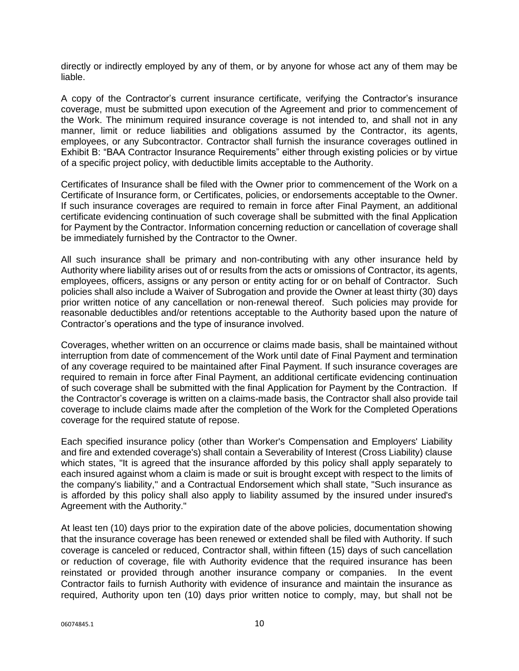directly or indirectly employed by any of them, or by anyone for whose act any of them may be liable.

A copy of the Contractor's current insurance certificate, verifying the Contractor's insurance coverage, must be submitted upon execution of the Agreement and prior to commencement of the Work. The minimum required insurance coverage is not intended to, and shall not in any manner, limit or reduce liabilities and obligations assumed by the Contractor, its agents, employees, or any Subcontractor. Contractor shall furnish the insurance coverages outlined in Exhibit B: "BAA Contractor Insurance Requirements" either through existing policies or by virtue of a specific project policy, with deductible limits acceptable to the Authority.

Certificates of Insurance shall be filed with the Owner prior to commencement of the Work on a Certificate of Insurance form, or Certificates, policies, or endorsements acceptable to the Owner. If such insurance coverages are required to remain in force after Final Payment, an additional certificate evidencing continuation of such coverage shall be submitted with the final Application for Payment by the Contractor. Information concerning reduction or cancellation of coverage shall be immediately furnished by the Contractor to the Owner.

All such insurance shall be primary and non-contributing with any other insurance held by Authority where liability arises out of or results from the acts or omissions of Contractor, its agents, employees, officers, assigns or any person or entity acting for or on behalf of Contractor. Such policies shall also include a Waiver of Subrogation and provide the Owner at least thirty (30) days prior written notice of any cancellation or non-renewal thereof. Such policies may provide for reasonable deductibles and/or retentions acceptable to the Authority based upon the nature of Contractor's operations and the type of insurance involved.

Coverages, whether written on an occurrence or claims made basis, shall be maintained without interruption from date of commencement of the Work until date of Final Payment and termination of any coverage required to be maintained after Final Payment. If such insurance coverages are required to remain in force after Final Payment, an additional certificate evidencing continuation of such coverage shall be submitted with the final Application for Payment by the Contraction. If the Contractor's coverage is written on a claims-made basis, the Contractor shall also provide tail coverage to include claims made after the completion of the Work for the Completed Operations coverage for the required statute of repose.

Each specified insurance policy (other than Worker's Compensation and Employers' Liability and fire and extended coverage's) shall contain a Severability of Interest (Cross Liability) clause which states, "It is agreed that the insurance afforded by this policy shall apply separately to each insured against whom a claim is made or suit is brought except with respect to the limits of the company's liability," and a Contractual Endorsement which shall state, "Such insurance as is afforded by this policy shall also apply to liability assumed by the insured under insured's Agreement with the Authority."

At least ten (10) days prior to the expiration date of the above policies, documentation showing that the insurance coverage has been renewed or extended shall be filed with Authority. If such coverage is canceled or reduced, Contractor shall, within fifteen (15) days of such cancellation or reduction of coverage, file with Authority evidence that the required insurance has been reinstated or provided through another insurance company or companies. In the event Contractor fails to furnish Authority with evidence of insurance and maintain the insurance as required, Authority upon ten (10) days prior written notice to comply, may, but shall not be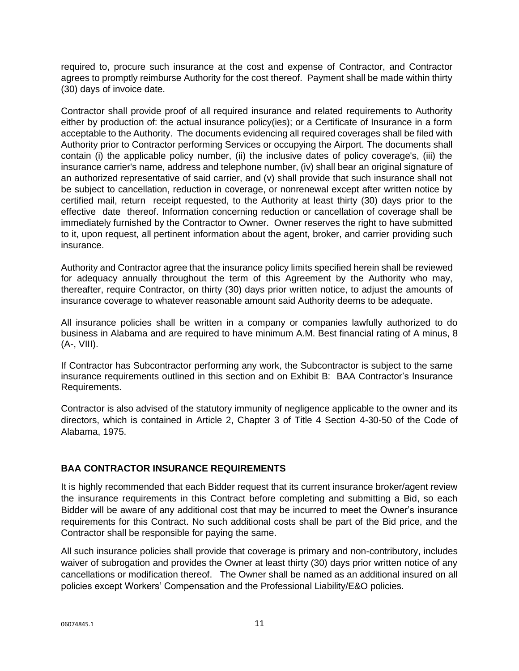required to, procure such insurance at the cost and expense of Contractor, and Contractor agrees to promptly reimburse Authority for the cost thereof. Payment shall be made within thirty (30) days of invoice date.

Contractor shall provide proof of all required insurance and related requirements to Authority either by production of: the actual insurance policy(ies); or a Certificate of Insurance in a form acceptable to the Authority. The documents evidencing all required coverages shall be filed with Authority prior to Contractor performing Services or occupying the Airport. The documents shall contain (i) the applicable policy number, (ii) the inclusive dates of policy coverage's, (iii) the insurance carrier's name, address and telephone number, (iv) shall bear an original signature of an authorized representative of said carrier, and (v) shall provide that such insurance shall not be subject to cancellation, reduction in coverage, or nonrenewal except after written notice by certified mail, return receipt requested, to the Authority at least thirty (30) days prior to the effective date thereof. Information concerning reduction or cancellation of coverage shall be immediately furnished by the Contractor to Owner. Owner reserves the right to have submitted to it, upon request, all pertinent information about the agent, broker, and carrier providing such insurance.

Authority and Contractor agree that the insurance policy limits specified herein shall be reviewed for adequacy annually throughout the term of this Agreement by the Authority who may, thereafter, require Contractor, on thirty (30) days prior written notice, to adjust the amounts of insurance coverage to whatever reasonable amount said Authority deems to be adequate.

All insurance policies shall be written in a company or companies lawfully authorized to do business in Alabama and are required to have minimum A.M. Best financial rating of A minus, 8 (A-, VIII).

If Contractor has Subcontractor performing any work, the Subcontractor is subject to the same insurance requirements outlined in this section and on Exhibit B: BAA Contractor's Insurance Requirements.

Contractor is also advised of the statutory immunity of negligence applicable to the owner and its directors, which is contained in Article 2, Chapter 3 of Title 4 Section 4-30-50 of the Code of Alabama, 1975.

#### **BAA CONTRACTOR INSURANCE REQUIREMENTS**

It is highly recommended that each Bidder request that its current insurance broker/agent review the insurance requirements in this Contract before completing and submitting a Bid, so each Bidder will be aware of any additional cost that may be incurred to meet the Owner's insurance requirements for this Contract. No such additional costs shall be part of the Bid price, and the Contractor shall be responsible for paying the same.

All such insurance policies shall provide that coverage is primary and non-contributory, includes waiver of subrogation and provides the Owner at least thirty (30) days prior written notice of any cancellations or modification thereof. The Owner shall be named as an additional insured on all policies except Workers' Compensation and the Professional Liability/E&O policies.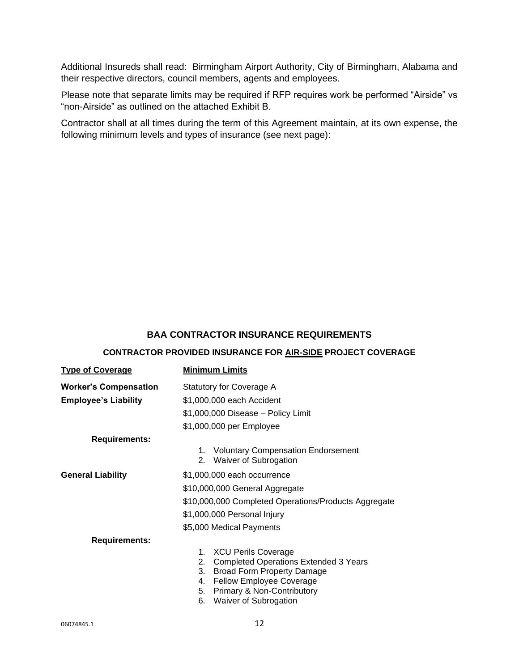Additional Insureds shall read: Birmingham Airport Authority, City of Birmingham, Alabama and their respective directors, council members, agents and employees.

Please note that separate limits may be required if RFP requires work be performed "Airside" vs "non-Airside" as outlined on the attached Exhibit B.

Contractor shall at all times during the term of this Agreement maintain, at its own expense, the following minimum levels and types of insurance (see next page):

#### **BAA CONTRACTOR INSURANCE REQUIREMENTS**

#### **CONTRACTOR PROVIDED INSURANCE FOR AIR-SIDE PROJECT COVERAGE**

| <b>Type of Coverage</b>      | <b>Minimum Limits</b>                                                                                                                                                                                                                             |
|------------------------------|---------------------------------------------------------------------------------------------------------------------------------------------------------------------------------------------------------------------------------------------------|
| <b>Worker's Compensation</b> | Statutory for Coverage A                                                                                                                                                                                                                          |
| <b>Employee's Liability</b>  | \$1,000,000 each Accident                                                                                                                                                                                                                         |
|                              | \$1,000,000 Disease - Policy Limit                                                                                                                                                                                                                |
|                              | \$1,000,000 per Employee                                                                                                                                                                                                                          |
| <b>Requirements:</b>         |                                                                                                                                                                                                                                                   |
|                              | <b>Voluntary Compensation Endorsement</b><br>1.<br>Waiver of Subrogation<br>$2_{-}$                                                                                                                                                               |
| <b>General Liability</b>     | \$1,000,000 each occurrence                                                                                                                                                                                                                       |
|                              | \$10,000,000 General Aggregate                                                                                                                                                                                                                    |
|                              | \$10,000,000 Completed Operations/Products Aggregate                                                                                                                                                                                              |
|                              | \$1,000,000 Personal Injury                                                                                                                                                                                                                       |
|                              | \$5,000 Medical Payments                                                                                                                                                                                                                          |
| <b>Requirements:</b>         |                                                                                                                                                                                                                                                   |
|                              | <b>XCU Perils Coverage</b><br>1.<br><b>Completed Operations Extended 3 Years</b><br>2.<br>3.<br><b>Broad Form Property Damage</b><br>Fellow Employee Coverage<br>4.<br><b>Primary &amp; Non-Contributory</b><br>5.<br>Waiver of Subrogation<br>6. |